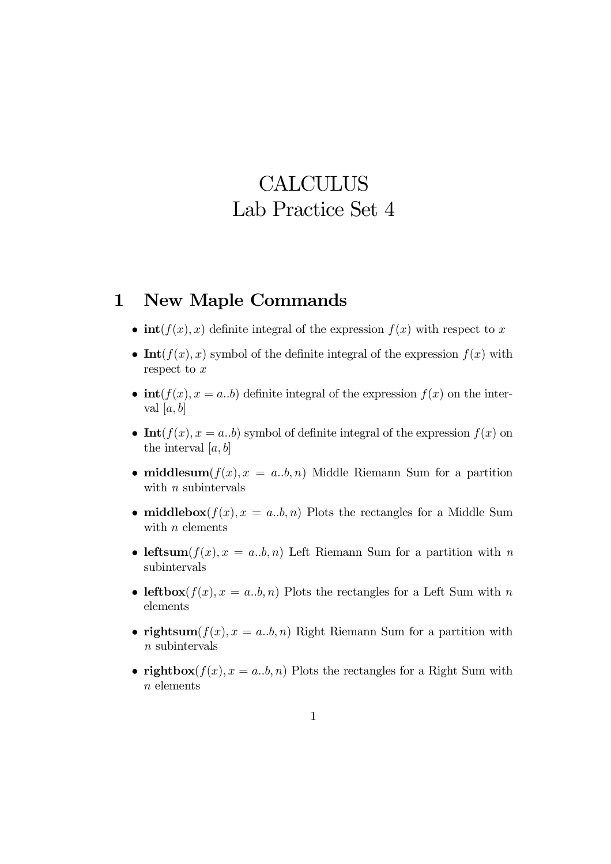## **CALCULUS** Lab Practice Set 4

## 1 New Maple Commands

- $\text{int}(f(x), x)$  definite integral of the expression  $f(x)$  with respect to x
- Int $(f(x), x)$  symbol of the definite integral of the expression  $f(x)$  with respect to  $x$
- $\text{int}(f(x), x = a,b)$  definite integral of the expression  $f(x)$  on the interval  $[a, b]$
- Int $(f(x), x = a,b)$  symbol of definite integral of the expression  $f(x)$  on the interval  $[a, b]$
- middlesum $(f(x), x = a,b, n)$  Middle Riemann Sum for a partition with *n* subintervals
- middlebox $(f(x), x = a,b, n)$  Plots the rectangles for a Middle Sum with  $n$  elements
- leftsum $(f(x), x = a,b, n)$  Left Riemann Sum for a partition with n subintervals
- leftbox $(f(x), x = a,b, n)$  Plots the rectangles for a Left Sum with n elements
- rightsum $(f(x), x = a,b, n)$  Right Riemann Sum for a partition with  $n$  subintervals
- rightbox $(f(x), x = a,b, n)$  Plots the rectangles for a Right Sum with n elements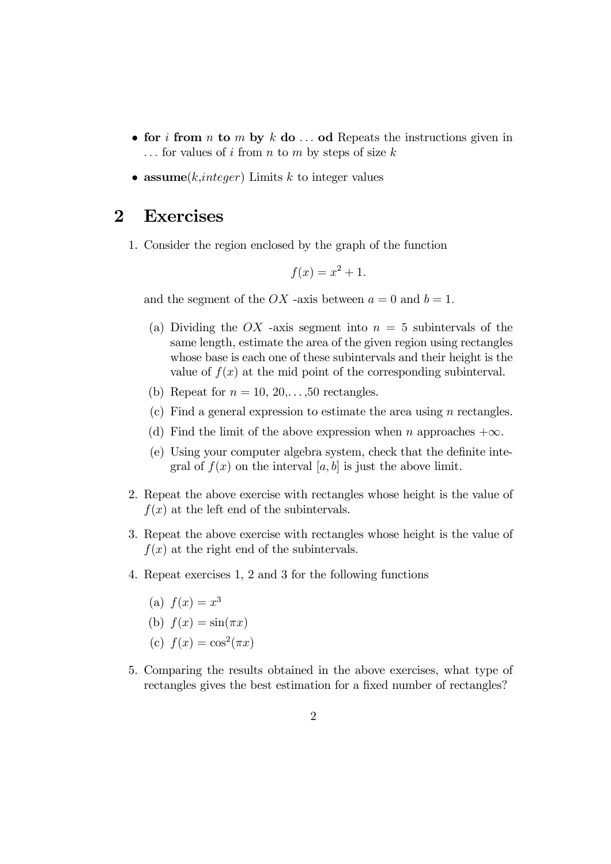- for i from n to m by k do  $\dots$  od Repeats the instructions given in  $\ldots$  for values of i from n to m by steps of size k
- assume $(k, integer)$  Limits k to integer values

## 2 Exercises

1. Consider the region enclosed by the graph of the function

$$
f(x) = x^2 + 1.
$$

and the segment of the OX -axis between  $a = 0$  and  $b = 1$ .

- (a) Dividing the OX -axis segment into  $n = 5$  subintervals of the same length, estimate the area of the given region using rectangles whose base is each one of these subintervals and their height is the value of  $f(x)$  at the mid point of the corresponding subinterval.
- (b) Repeat for  $n = 10, 20, \ldots, 50$  rectangles.
- (c) Find a general expression to estimate the area using n rectangles.
- (d) Find the limit of the above expression when n approaches  $+\infty$ .
- (e) Using your computer algebra system, check that the definite integral of  $f(x)$  on the interval [a, b] is just the above limit.
- 2. Repeat the above exercise with rectangles whose height is the value of  $f(x)$  at the left end of the subintervals.
- 3. Repeat the above exercise with rectangles whose height is the value of  $f(x)$  at the right end of the subintervals.
- 4. Repeat exercises 1, 2 and 3 for the following functions
	- (a)  $f(x) = x^3$
	- (b)  $f(x) = \sin(\pi x)$
	- (c)  $f(x) = \cos^2(\pi x)$
- 5. Comparing the results obtained in the above exercises, what type of rectangles gives the best estimation for a fixed number of rectangles?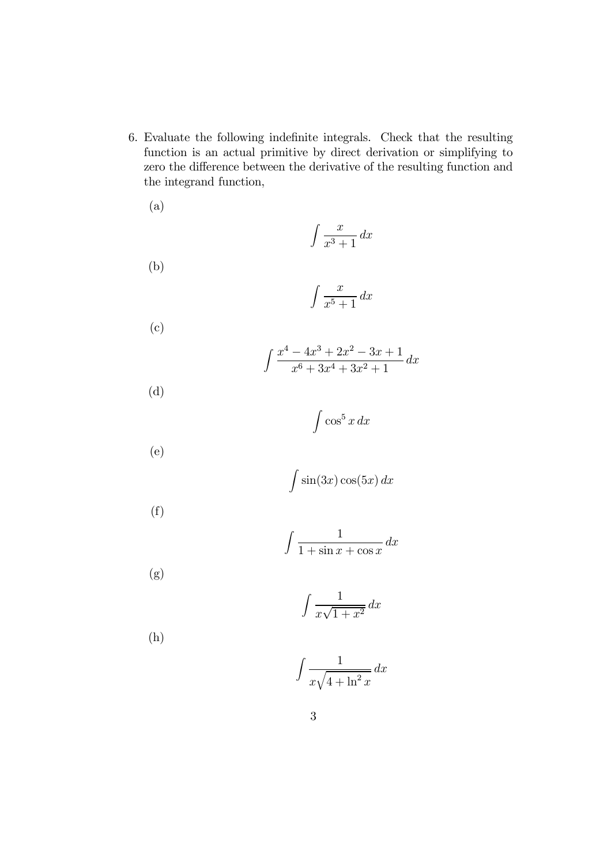6. Evaluate the following indefinite integrals. Check that the resulting function is an actual primitive by direct derivation or simplifying to zero the difference between the derivative of the resulting function and the integrand function,

(a)  $\int x^2 dx$  $\frac{x}{x^3+1} dx$ (b)  $\int x^2 dx$  $\frac{x}{x^5+1} dx$ (c)  $\int \frac{x^4 - 4x^3 + 2x^2 - 3x + 1}{x}$  $\frac{x^6 + 3x^4 + 3x^2 + 1}{x^6 + 3x^4 + 3x^2 + 1} dx$ (d)  $\int \cos^5 x \, dx$ (e)  $\int \sin(3x) \cos(5x) dx$ 

$$
\mathcal{L}^{\mathcal{L}}(\mathcal{L}^{\mathcal{L}})
$$

$$
\int \frac{1}{1 + \sin x + \cos x} \, dx
$$

(g)

(f)

$$
\int \frac{1}{x\sqrt{1+x^2}} \, dx
$$

(h)

$$
\int \frac{1}{x\sqrt{4+\ln^2 x}} \, dx
$$